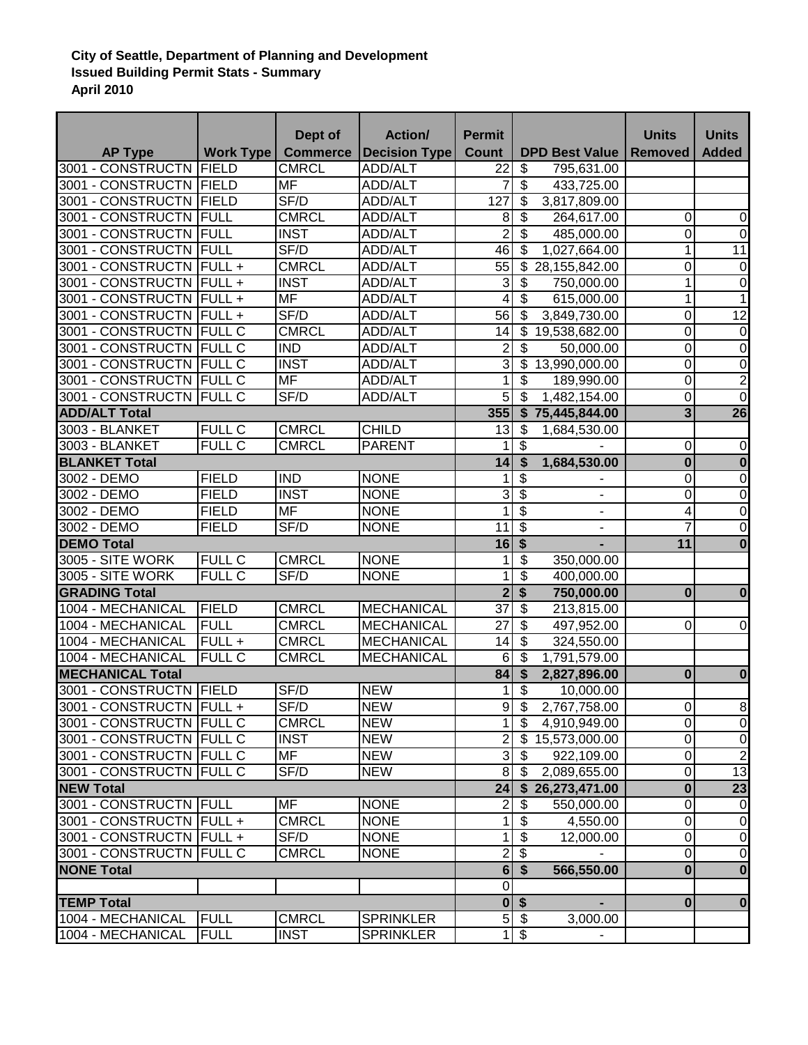## **City of Seattle, Department of Planning and Development Issued Building Permit Stats - Summary April 2010**

| <b>Count</b><br><b>DPD Best Value</b><br><b>AP Type</b><br><b>Work Type</b><br><b>Commerce</b><br><b>Decision Type</b><br><b>Removed</b><br><b>Added</b><br>3001 - CONSTRUCTN<br>FIELD<br><b>CMRCL</b><br>\$<br>ADD/ALT<br>22<br>795,631.00<br>$\overline{\mathcal{S}}$<br>3001 - CONSTRUCTN FIELD<br><b>MF</b><br>ADD/ALT<br>7<br>433,725.00<br>\$<br>3001 - CONSTRUCTN<br>SF/D<br>127<br>FIELD<br><b>ADD/ALT</b><br>3,817,809.00<br>$\overline{\mathbf{s}}$<br>3001 - CONSTRUCTN<br><b>CMRCL</b><br>FULL<br><b>ADD/ALT</b><br>8<br>0<br>264,617.00<br>$\mathbf 0$<br>$\overline{2}$<br>0<br>\$<br>3001 - CONSTRUCTN<br>FULL<br><b>INST</b><br>$\mathbf 0$<br><b>ADD/ALT</b><br>485,000.00<br>1<br>$\overline{11}$<br>SF/D<br>46<br>3001 - CONSTRUCTN<br>FULL<br><b>ADD/ALT</b><br>\$<br>1,027,664.00<br>55<br>0<br>3001 - CONSTRUCTN<br><b>FULL+</b><br><b>CMRCL</b><br><b>ADD/ALT</b><br>\$<br>28,155,842.00<br>$\mathbf 0$<br>3<br><b>INST</b><br>3001 - CONSTRUCTN<br>FULL+<br>ADD/ALT<br>1<br>$\mathbf 0$<br>\$<br>750,000.00<br><b>MF</b><br>3001 - CONSTRUCTN<br>$\overline{4}$<br>\$<br><b>FULL+</b><br>ADD/ALT<br>615,000.00<br>1<br>1<br>12<br>SF/D<br>$\mathbf 0$<br>3001 - CONSTRUCTN<br>$FULL +$<br>56<br>3,849,730.00<br>ADD/ALT<br>\$<br><b>CMRCL</b><br>3001 - CONSTRUCTN<br><b>FULL C</b><br>0<br>ADD/ALT<br>14<br>\$<br>$\mathbf 0$<br>19,538,682.00<br>3001 - CONSTRUCTN<br><b>FULL C</b><br><b>IND</b><br>$\overline{2}$<br>\$<br>0<br>$\boldsymbol{0}$<br>ADD/ALT<br>50,000.00<br>دن<br>0<br>3001 - CONSTRUCTN<br><b>INST</b><br>13,990,000.00<br>$\mathbf 0$<br><b>FULL C</b><br>ADD/ALT<br>\$<br>$\overline{0}$<br>$\overline{2}$<br><b>MF</b><br>3001 - CONSTRUCTN<br><b>FULL C</b><br>1<br>ADD/ALT<br>\$<br>189,990.00<br>SF/D<br>5<br>0<br>3001 - CONSTRUCTN<br><b>FULL C</b><br>\$<br>1,482,154.00<br><b>ADD/ALT</b><br>$\mathbf 0$<br>$\overline{26}$<br>355<br>$\overline{3}$<br>$\overline{\mathbf{s}}$<br><b>ADD/ALT Total</b><br>75,445,844.00<br>3003 - BLANKET<br><b>FULL C</b><br><b>CMRCL</b><br><b>CHILD</b><br>13<br>\$<br>1,684,530.00<br><b>FULL C</b><br>$\overline{\mathcal{S}}$<br>3003 - BLANKET<br><b>CMRCL</b><br>0<br><b>PARENT</b><br>$\mathbf 0$<br>1<br>1,684,530.00<br><b>BLANKET Total</b><br>14<br>\$<br>$\bf{0}$<br>$\overline{\mathbf{0}}$<br>$\overline{0}$<br>\$<br>$\overline{0}$<br>3002 - DEMO<br><b>FIELD</b><br><b>IND</b><br><b>NONE</b><br>1<br>$\overline{3}$<br>$\overline{\$}$<br><b>INST</b><br>0<br>$\mathbf 0$<br>3002 - DEMO<br><b>FIELD</b><br><b>NONE</b><br>$\blacksquare$<br>$\overline{\$}$<br><b>MF</b><br>1<br>$\mathbf 0$<br>3002 - DEMO<br><b>FIELD</b><br><b>NONE</b><br>4<br>$\overline{\phantom{a}}$<br>$\overline{\mathcal{S}}$<br><b>FIELD</b><br>SF/D<br>7<br>$\mathbf 0$<br>3002 - DEMO<br><b>NONE</b><br>11<br>$\overline{\phantom{a}}$<br>$\overline{\mathbf{S}}$<br>$\bf{0}$<br><b>DEMO Total</b><br>16<br>11<br>\$<br>3005 - SITE WORK<br><b>FULL C</b><br><b>CMRCL</b><br><b>NONE</b><br>1<br>350,000.00<br>\$<br>FULL C<br>SF/D<br><b>NONE</b><br>3005 - SITE WORK<br>1<br>400,000.00<br>$\overline{2}$<br>\$<br><b>GRADING Total</b><br>$\bf{0}$<br>$\bf{0}$<br>750,000.00<br>$\overline{37}$<br>1004 - MECHANICAL<br><b>FIELD</b><br><b>CMRCL</b><br><b>MECHANICAL</b><br>\$<br>213,815.00<br>$\overline{27}$<br>1004 - MECHANICAL<br><b>FULL</b><br><b>CMRCL</b><br>\$<br>0<br><b>MECHANICAL</b><br>497,952.00<br>$\mathbf 0$<br>$\overline{\mathbf{s}}$<br><b>CMRCL</b><br>1004 - MECHANICAL<br>FULL +<br><b>MECHANICAL</b><br>14<br>324,550.00<br>1004 - MECHANICAL<br>FULLC<br><b>CMRCL</b><br><b>MECHANICAL</b><br>$6\phantom{1}6$<br>\$<br>1,791,579.00<br><b>MECHANICAL Total</b><br>84<br>\$<br>2,827,896.00<br>$\bf{0}$<br>$\bf{0}$<br>FIELD<br>SF/D<br>3001 - CONSTRUCTN<br><b>NEW</b><br>\$<br>1<br>10,000.00<br>SF/D<br><b>NEW</b><br>3001 - CONSTRUCTN FULL +<br>$9 - $$<br>2,767,758.00<br>$\overline{0}$<br>$\infty$<br>$\overline{0}$<br>$\mathbf{1}$<br>$\mathfrak{F}$<br>3001 - CONSTRUCTN FULL C<br><b>CMRCL</b><br><b>NEW</b><br>4,910,949.00<br>$\overline{2}$<br>$\mathbf 0$<br>3001 - CONSTRUCTN FULL C<br><b>INST</b><br><b>NEW</b><br>0<br>\$15,573,000.00<br>دى<br>$\overline{2}$<br><b>MF</b><br>3001 - CONSTRUCTN FULL C<br><b>NEW</b><br>0<br>- \$<br>922,109.00<br>$\overline{0}$<br>$\overline{13}$<br>SF/D<br>3001 - CONSTRUCTN FULL C<br><b>NEW</b><br>8 <sup>1</sup><br>2,089,655.00<br>- \$<br>23<br>$\bf{0}$<br>24<br><b>NEW Total</b><br>26,273,471.00<br>$\mathbf{\$}$<br>$\overline{2}$<br>0<br>3001 - CONSTRUCTN FULL<br>MF<br><b>NONE</b><br>\$<br>$\mathbf 0$<br>550,000.00<br><b>CMRCL</b><br>3001 - CONSTRUCTN FULL +<br><b>NONE</b><br>$\mathbf{1}$<br>\$<br>0<br>4,550.00<br>$\mathbf 0$<br>$\overline{0}$<br>3001 - CONSTRUCTN FULL +<br>SF/D<br><b>NONE</b><br>1<br>\$<br>$\mathbf 0$<br>12,000.00<br>$2 \sqrt{3}$<br>$\overline{0}$<br>$\overline{0}$<br>3001 - CONSTRUCTN FULL C<br><b>CMRCL</b><br><b>NONE</b><br>65<br>$\overline{\mathbf{0}}$<br>$\overline{\mathbf{0}}$<br>566,550.00<br>$\overline{0}$<br>$0$ \$<br>$\bf{0}$<br>$\bf{0}$<br>$5$ \$<br>1004 - MECHANICAL<br><b>FULL</b><br><b>CMRCL</b><br><b>SPRINKLER</b><br>3,000.00<br>1004 - MECHANICAL<br><b>FULL</b><br><b>INST</b><br>$1 \,$ \$<br><b>SPRINKLER</b> |                   | Dept of | <b>Action/</b> | <b>Permit</b> |  | <b>Units</b> | <b>Units</b>   |
|-----------------------------------------------------------------------------------------------------------------------------------------------------------------------------------------------------------------------------------------------------------------------------------------------------------------------------------------------------------------------------------------------------------------------------------------------------------------------------------------------------------------------------------------------------------------------------------------------------------------------------------------------------------------------------------------------------------------------------------------------------------------------------------------------------------------------------------------------------------------------------------------------------------------------------------------------------------------------------------------------------------------------------------------------------------------------------------------------------------------------------------------------------------------------------------------------------------------------------------------------------------------------------------------------------------------------------------------------------------------------------------------------------------------------------------------------------------------------------------------------------------------------------------------------------------------------------------------------------------------------------------------------------------------------------------------------------------------------------------------------------------------------------------------------------------------------------------------------------------------------------------------------------------------------------------------------------------------------------------------------------------------------------------------------------------------------------------------------------------------------------------------------------------------------------------------------------------------------------------------------------------------------------------------------------------------------------------------------------------------------------------------------------------------------------------------------------------------------------------------------------------------------------------------------------------------------------------------------------------------------------------------------------------------------------------------------------------------------------------------------------------------------------------------------------------------------------------------------------------------------------------------------------------------------------------------------------------------------------------------------------------------------------------------------------------------------------------------------------------------------------------------------------------------------------------------------------------------------------------------------------------------------------------------------------------------------------------------------------------------------------------------------------------------------------------------------------------------------------------------------------------------------------------------------------------------------------------------------------------------------------------------------------------------------------------------------------------------------------------------------------------------------------------------------------------------------------------------------------------------------------------------------------------------------------------------------------------------------------------------------------------------------------------------------------------------------------------------------------------------------------------------------------------------------------------------------------------------------------------------------------------------------------------------------------------------------------------------------------------------------------------------------------------------------------------------------------------------------------------------------------------------------------------------------------------------------------------------------------------------------------------------------------------------------------------------------------------------------------------------------------------------------------------------------------------------------------------------------------------------------------------------------------------------------------------------------------------------------------------------------------------------------------------------------------------------------------------------------------------------------------------------------------------------------------------------------------------------------------------------------------------------------------------|-------------------|---------|----------------|---------------|--|--------------|----------------|
|                                                                                                                                                                                                                                                                                                                                                                                                                                                                                                                                                                                                                                                                                                                                                                                                                                                                                                                                                                                                                                                                                                                                                                                                                                                                                                                                                                                                                                                                                                                                                                                                                                                                                                                                                                                                                                                                                                                                                                                                                                                                                                                                                                                                                                                                                                                                                                                                                                                                                                                                                                                                                                                                                                                                                                                                                                                                                                                                                                                                                                                                                                                                                                                                                                                                                                                                                                                                                                                                                                                                                                                                                                                                                                                                                                                                                                                                                                                                                                                                                                                                                                                                                                                                                                                                                                                                                                                                                                                                                                                                                                                                                                                                                                                                                                                                                                                                                                                                                                                                                                                                                                                                                                                                                                                                                   |                   |         |                |               |  |              |                |
|                                                                                                                                                                                                                                                                                                                                                                                                                                                                                                                                                                                                                                                                                                                                                                                                                                                                                                                                                                                                                                                                                                                                                                                                                                                                                                                                                                                                                                                                                                                                                                                                                                                                                                                                                                                                                                                                                                                                                                                                                                                                                                                                                                                                                                                                                                                                                                                                                                                                                                                                                                                                                                                                                                                                                                                                                                                                                                                                                                                                                                                                                                                                                                                                                                                                                                                                                                                                                                                                                                                                                                                                                                                                                                                                                                                                                                                                                                                                                                                                                                                                                                                                                                                                                                                                                                                                                                                                                                                                                                                                                                                                                                                                                                                                                                                                                                                                                                                                                                                                                                                                                                                                                                                                                                                                                   |                   |         |                |               |  |              |                |
|                                                                                                                                                                                                                                                                                                                                                                                                                                                                                                                                                                                                                                                                                                                                                                                                                                                                                                                                                                                                                                                                                                                                                                                                                                                                                                                                                                                                                                                                                                                                                                                                                                                                                                                                                                                                                                                                                                                                                                                                                                                                                                                                                                                                                                                                                                                                                                                                                                                                                                                                                                                                                                                                                                                                                                                                                                                                                                                                                                                                                                                                                                                                                                                                                                                                                                                                                                                                                                                                                                                                                                                                                                                                                                                                                                                                                                                                                                                                                                                                                                                                                                                                                                                                                                                                                                                                                                                                                                                                                                                                                                                                                                                                                                                                                                                                                                                                                                                                                                                                                                                                                                                                                                                                                                                                                   |                   |         |                |               |  |              |                |
|                                                                                                                                                                                                                                                                                                                                                                                                                                                                                                                                                                                                                                                                                                                                                                                                                                                                                                                                                                                                                                                                                                                                                                                                                                                                                                                                                                                                                                                                                                                                                                                                                                                                                                                                                                                                                                                                                                                                                                                                                                                                                                                                                                                                                                                                                                                                                                                                                                                                                                                                                                                                                                                                                                                                                                                                                                                                                                                                                                                                                                                                                                                                                                                                                                                                                                                                                                                                                                                                                                                                                                                                                                                                                                                                                                                                                                                                                                                                                                                                                                                                                                                                                                                                                                                                                                                                                                                                                                                                                                                                                                                                                                                                                                                                                                                                                                                                                                                                                                                                                                                                                                                                                                                                                                                                                   |                   |         |                |               |  |              |                |
|                                                                                                                                                                                                                                                                                                                                                                                                                                                                                                                                                                                                                                                                                                                                                                                                                                                                                                                                                                                                                                                                                                                                                                                                                                                                                                                                                                                                                                                                                                                                                                                                                                                                                                                                                                                                                                                                                                                                                                                                                                                                                                                                                                                                                                                                                                                                                                                                                                                                                                                                                                                                                                                                                                                                                                                                                                                                                                                                                                                                                                                                                                                                                                                                                                                                                                                                                                                                                                                                                                                                                                                                                                                                                                                                                                                                                                                                                                                                                                                                                                                                                                                                                                                                                                                                                                                                                                                                                                                                                                                                                                                                                                                                                                                                                                                                                                                                                                                                                                                                                                                                                                                                                                                                                                                                                   |                   |         |                |               |  |              |                |
|                                                                                                                                                                                                                                                                                                                                                                                                                                                                                                                                                                                                                                                                                                                                                                                                                                                                                                                                                                                                                                                                                                                                                                                                                                                                                                                                                                                                                                                                                                                                                                                                                                                                                                                                                                                                                                                                                                                                                                                                                                                                                                                                                                                                                                                                                                                                                                                                                                                                                                                                                                                                                                                                                                                                                                                                                                                                                                                                                                                                                                                                                                                                                                                                                                                                                                                                                                                                                                                                                                                                                                                                                                                                                                                                                                                                                                                                                                                                                                                                                                                                                                                                                                                                                                                                                                                                                                                                                                                                                                                                                                                                                                                                                                                                                                                                                                                                                                                                                                                                                                                                                                                                                                                                                                                                                   |                   |         |                |               |  |              |                |
|                                                                                                                                                                                                                                                                                                                                                                                                                                                                                                                                                                                                                                                                                                                                                                                                                                                                                                                                                                                                                                                                                                                                                                                                                                                                                                                                                                                                                                                                                                                                                                                                                                                                                                                                                                                                                                                                                                                                                                                                                                                                                                                                                                                                                                                                                                                                                                                                                                                                                                                                                                                                                                                                                                                                                                                                                                                                                                                                                                                                                                                                                                                                                                                                                                                                                                                                                                                                                                                                                                                                                                                                                                                                                                                                                                                                                                                                                                                                                                                                                                                                                                                                                                                                                                                                                                                                                                                                                                                                                                                                                                                                                                                                                                                                                                                                                                                                                                                                                                                                                                                                                                                                                                                                                                                                                   |                   |         |                |               |  |              |                |
|                                                                                                                                                                                                                                                                                                                                                                                                                                                                                                                                                                                                                                                                                                                                                                                                                                                                                                                                                                                                                                                                                                                                                                                                                                                                                                                                                                                                                                                                                                                                                                                                                                                                                                                                                                                                                                                                                                                                                                                                                                                                                                                                                                                                                                                                                                                                                                                                                                                                                                                                                                                                                                                                                                                                                                                                                                                                                                                                                                                                                                                                                                                                                                                                                                                                                                                                                                                                                                                                                                                                                                                                                                                                                                                                                                                                                                                                                                                                                                                                                                                                                                                                                                                                                                                                                                                                                                                                                                                                                                                                                                                                                                                                                                                                                                                                                                                                                                                                                                                                                                                                                                                                                                                                                                                                                   |                   |         |                |               |  |              |                |
|                                                                                                                                                                                                                                                                                                                                                                                                                                                                                                                                                                                                                                                                                                                                                                                                                                                                                                                                                                                                                                                                                                                                                                                                                                                                                                                                                                                                                                                                                                                                                                                                                                                                                                                                                                                                                                                                                                                                                                                                                                                                                                                                                                                                                                                                                                                                                                                                                                                                                                                                                                                                                                                                                                                                                                                                                                                                                                                                                                                                                                                                                                                                                                                                                                                                                                                                                                                                                                                                                                                                                                                                                                                                                                                                                                                                                                                                                                                                                                                                                                                                                                                                                                                                                                                                                                                                                                                                                                                                                                                                                                                                                                                                                                                                                                                                                                                                                                                                                                                                                                                                                                                                                                                                                                                                                   |                   |         |                |               |  |              |                |
|                                                                                                                                                                                                                                                                                                                                                                                                                                                                                                                                                                                                                                                                                                                                                                                                                                                                                                                                                                                                                                                                                                                                                                                                                                                                                                                                                                                                                                                                                                                                                                                                                                                                                                                                                                                                                                                                                                                                                                                                                                                                                                                                                                                                                                                                                                                                                                                                                                                                                                                                                                                                                                                                                                                                                                                                                                                                                                                                                                                                                                                                                                                                                                                                                                                                                                                                                                                                                                                                                                                                                                                                                                                                                                                                                                                                                                                                                                                                                                                                                                                                                                                                                                                                                                                                                                                                                                                                                                                                                                                                                                                                                                                                                                                                                                                                                                                                                                                                                                                                                                                                                                                                                                                                                                                                                   |                   |         |                |               |  |              |                |
|                                                                                                                                                                                                                                                                                                                                                                                                                                                                                                                                                                                                                                                                                                                                                                                                                                                                                                                                                                                                                                                                                                                                                                                                                                                                                                                                                                                                                                                                                                                                                                                                                                                                                                                                                                                                                                                                                                                                                                                                                                                                                                                                                                                                                                                                                                                                                                                                                                                                                                                                                                                                                                                                                                                                                                                                                                                                                                                                                                                                                                                                                                                                                                                                                                                                                                                                                                                                                                                                                                                                                                                                                                                                                                                                                                                                                                                                                                                                                                                                                                                                                                                                                                                                                                                                                                                                                                                                                                                                                                                                                                                                                                                                                                                                                                                                                                                                                                                                                                                                                                                                                                                                                                                                                                                                                   |                   |         |                |               |  |              |                |
|                                                                                                                                                                                                                                                                                                                                                                                                                                                                                                                                                                                                                                                                                                                                                                                                                                                                                                                                                                                                                                                                                                                                                                                                                                                                                                                                                                                                                                                                                                                                                                                                                                                                                                                                                                                                                                                                                                                                                                                                                                                                                                                                                                                                                                                                                                                                                                                                                                                                                                                                                                                                                                                                                                                                                                                                                                                                                                                                                                                                                                                                                                                                                                                                                                                                                                                                                                                                                                                                                                                                                                                                                                                                                                                                                                                                                                                                                                                                                                                                                                                                                                                                                                                                                                                                                                                                                                                                                                                                                                                                                                                                                                                                                                                                                                                                                                                                                                                                                                                                                                                                                                                                                                                                                                                                                   |                   |         |                |               |  |              |                |
|                                                                                                                                                                                                                                                                                                                                                                                                                                                                                                                                                                                                                                                                                                                                                                                                                                                                                                                                                                                                                                                                                                                                                                                                                                                                                                                                                                                                                                                                                                                                                                                                                                                                                                                                                                                                                                                                                                                                                                                                                                                                                                                                                                                                                                                                                                                                                                                                                                                                                                                                                                                                                                                                                                                                                                                                                                                                                                                                                                                                                                                                                                                                                                                                                                                                                                                                                                                                                                                                                                                                                                                                                                                                                                                                                                                                                                                                                                                                                                                                                                                                                                                                                                                                                                                                                                                                                                                                                                                                                                                                                                                                                                                                                                                                                                                                                                                                                                                                                                                                                                                                                                                                                                                                                                                                                   |                   |         |                |               |  |              |                |
|                                                                                                                                                                                                                                                                                                                                                                                                                                                                                                                                                                                                                                                                                                                                                                                                                                                                                                                                                                                                                                                                                                                                                                                                                                                                                                                                                                                                                                                                                                                                                                                                                                                                                                                                                                                                                                                                                                                                                                                                                                                                                                                                                                                                                                                                                                                                                                                                                                                                                                                                                                                                                                                                                                                                                                                                                                                                                                                                                                                                                                                                                                                                                                                                                                                                                                                                                                                                                                                                                                                                                                                                                                                                                                                                                                                                                                                                                                                                                                                                                                                                                                                                                                                                                                                                                                                                                                                                                                                                                                                                                                                                                                                                                                                                                                                                                                                                                                                                                                                                                                                                                                                                                                                                                                                                                   |                   |         |                |               |  |              |                |
|                                                                                                                                                                                                                                                                                                                                                                                                                                                                                                                                                                                                                                                                                                                                                                                                                                                                                                                                                                                                                                                                                                                                                                                                                                                                                                                                                                                                                                                                                                                                                                                                                                                                                                                                                                                                                                                                                                                                                                                                                                                                                                                                                                                                                                                                                                                                                                                                                                                                                                                                                                                                                                                                                                                                                                                                                                                                                                                                                                                                                                                                                                                                                                                                                                                                                                                                                                                                                                                                                                                                                                                                                                                                                                                                                                                                                                                                                                                                                                                                                                                                                                                                                                                                                                                                                                                                                                                                                                                                                                                                                                                                                                                                                                                                                                                                                                                                                                                                                                                                                                                                                                                                                                                                                                                                                   |                   |         |                |               |  |              |                |
|                                                                                                                                                                                                                                                                                                                                                                                                                                                                                                                                                                                                                                                                                                                                                                                                                                                                                                                                                                                                                                                                                                                                                                                                                                                                                                                                                                                                                                                                                                                                                                                                                                                                                                                                                                                                                                                                                                                                                                                                                                                                                                                                                                                                                                                                                                                                                                                                                                                                                                                                                                                                                                                                                                                                                                                                                                                                                                                                                                                                                                                                                                                                                                                                                                                                                                                                                                                                                                                                                                                                                                                                                                                                                                                                                                                                                                                                                                                                                                                                                                                                                                                                                                                                                                                                                                                                                                                                                                                                                                                                                                                                                                                                                                                                                                                                                                                                                                                                                                                                                                                                                                                                                                                                                                                                                   |                   |         |                |               |  |              |                |
|                                                                                                                                                                                                                                                                                                                                                                                                                                                                                                                                                                                                                                                                                                                                                                                                                                                                                                                                                                                                                                                                                                                                                                                                                                                                                                                                                                                                                                                                                                                                                                                                                                                                                                                                                                                                                                                                                                                                                                                                                                                                                                                                                                                                                                                                                                                                                                                                                                                                                                                                                                                                                                                                                                                                                                                                                                                                                                                                                                                                                                                                                                                                                                                                                                                                                                                                                                                                                                                                                                                                                                                                                                                                                                                                                                                                                                                                                                                                                                                                                                                                                                                                                                                                                                                                                                                                                                                                                                                                                                                                                                                                                                                                                                                                                                                                                                                                                                                                                                                                                                                                                                                                                                                                                                                                                   |                   |         |                |               |  |              |                |
|                                                                                                                                                                                                                                                                                                                                                                                                                                                                                                                                                                                                                                                                                                                                                                                                                                                                                                                                                                                                                                                                                                                                                                                                                                                                                                                                                                                                                                                                                                                                                                                                                                                                                                                                                                                                                                                                                                                                                                                                                                                                                                                                                                                                                                                                                                                                                                                                                                                                                                                                                                                                                                                                                                                                                                                                                                                                                                                                                                                                                                                                                                                                                                                                                                                                                                                                                                                                                                                                                                                                                                                                                                                                                                                                                                                                                                                                                                                                                                                                                                                                                                                                                                                                                                                                                                                                                                                                                                                                                                                                                                                                                                                                                                                                                                                                                                                                                                                                                                                                                                                                                                                                                                                                                                                                                   |                   |         |                |               |  |              |                |
|                                                                                                                                                                                                                                                                                                                                                                                                                                                                                                                                                                                                                                                                                                                                                                                                                                                                                                                                                                                                                                                                                                                                                                                                                                                                                                                                                                                                                                                                                                                                                                                                                                                                                                                                                                                                                                                                                                                                                                                                                                                                                                                                                                                                                                                                                                                                                                                                                                                                                                                                                                                                                                                                                                                                                                                                                                                                                                                                                                                                                                                                                                                                                                                                                                                                                                                                                                                                                                                                                                                                                                                                                                                                                                                                                                                                                                                                                                                                                                                                                                                                                                                                                                                                                                                                                                                                                                                                                                                                                                                                                                                                                                                                                                                                                                                                                                                                                                                                                                                                                                                                                                                                                                                                                                                                                   |                   |         |                |               |  |              |                |
|                                                                                                                                                                                                                                                                                                                                                                                                                                                                                                                                                                                                                                                                                                                                                                                                                                                                                                                                                                                                                                                                                                                                                                                                                                                                                                                                                                                                                                                                                                                                                                                                                                                                                                                                                                                                                                                                                                                                                                                                                                                                                                                                                                                                                                                                                                                                                                                                                                                                                                                                                                                                                                                                                                                                                                                                                                                                                                                                                                                                                                                                                                                                                                                                                                                                                                                                                                                                                                                                                                                                                                                                                                                                                                                                                                                                                                                                                                                                                                                                                                                                                                                                                                                                                                                                                                                                                                                                                                                                                                                                                                                                                                                                                                                                                                                                                                                                                                                                                                                                                                                                                                                                                                                                                                                                                   |                   |         |                |               |  |              |                |
|                                                                                                                                                                                                                                                                                                                                                                                                                                                                                                                                                                                                                                                                                                                                                                                                                                                                                                                                                                                                                                                                                                                                                                                                                                                                                                                                                                                                                                                                                                                                                                                                                                                                                                                                                                                                                                                                                                                                                                                                                                                                                                                                                                                                                                                                                                                                                                                                                                                                                                                                                                                                                                                                                                                                                                                                                                                                                                                                                                                                                                                                                                                                                                                                                                                                                                                                                                                                                                                                                                                                                                                                                                                                                                                                                                                                                                                                                                                                                                                                                                                                                                                                                                                                                                                                                                                                                                                                                                                                                                                                                                                                                                                                                                                                                                                                                                                                                                                                                                                                                                                                                                                                                                                                                                                                                   |                   |         |                |               |  |              |                |
|                                                                                                                                                                                                                                                                                                                                                                                                                                                                                                                                                                                                                                                                                                                                                                                                                                                                                                                                                                                                                                                                                                                                                                                                                                                                                                                                                                                                                                                                                                                                                                                                                                                                                                                                                                                                                                                                                                                                                                                                                                                                                                                                                                                                                                                                                                                                                                                                                                                                                                                                                                                                                                                                                                                                                                                                                                                                                                                                                                                                                                                                                                                                                                                                                                                                                                                                                                                                                                                                                                                                                                                                                                                                                                                                                                                                                                                                                                                                                                                                                                                                                                                                                                                                                                                                                                                                                                                                                                                                                                                                                                                                                                                                                                                                                                                                                                                                                                                                                                                                                                                                                                                                                                                                                                                                                   |                   |         |                |               |  |              |                |
|                                                                                                                                                                                                                                                                                                                                                                                                                                                                                                                                                                                                                                                                                                                                                                                                                                                                                                                                                                                                                                                                                                                                                                                                                                                                                                                                                                                                                                                                                                                                                                                                                                                                                                                                                                                                                                                                                                                                                                                                                                                                                                                                                                                                                                                                                                                                                                                                                                                                                                                                                                                                                                                                                                                                                                                                                                                                                                                                                                                                                                                                                                                                                                                                                                                                                                                                                                                                                                                                                                                                                                                                                                                                                                                                                                                                                                                                                                                                                                                                                                                                                                                                                                                                                                                                                                                                                                                                                                                                                                                                                                                                                                                                                                                                                                                                                                                                                                                                                                                                                                                                                                                                                                                                                                                                                   |                   |         |                |               |  |              |                |
|                                                                                                                                                                                                                                                                                                                                                                                                                                                                                                                                                                                                                                                                                                                                                                                                                                                                                                                                                                                                                                                                                                                                                                                                                                                                                                                                                                                                                                                                                                                                                                                                                                                                                                                                                                                                                                                                                                                                                                                                                                                                                                                                                                                                                                                                                                                                                                                                                                                                                                                                                                                                                                                                                                                                                                                                                                                                                                                                                                                                                                                                                                                                                                                                                                                                                                                                                                                                                                                                                                                                                                                                                                                                                                                                                                                                                                                                                                                                                                                                                                                                                                                                                                                                                                                                                                                                                                                                                                                                                                                                                                                                                                                                                                                                                                                                                                                                                                                                                                                                                                                                                                                                                                                                                                                                                   |                   |         |                |               |  |              |                |
|                                                                                                                                                                                                                                                                                                                                                                                                                                                                                                                                                                                                                                                                                                                                                                                                                                                                                                                                                                                                                                                                                                                                                                                                                                                                                                                                                                                                                                                                                                                                                                                                                                                                                                                                                                                                                                                                                                                                                                                                                                                                                                                                                                                                                                                                                                                                                                                                                                                                                                                                                                                                                                                                                                                                                                                                                                                                                                                                                                                                                                                                                                                                                                                                                                                                                                                                                                                                                                                                                                                                                                                                                                                                                                                                                                                                                                                                                                                                                                                                                                                                                                                                                                                                                                                                                                                                                                                                                                                                                                                                                                                                                                                                                                                                                                                                                                                                                                                                                                                                                                                                                                                                                                                                                                                                                   |                   |         |                |               |  |              |                |
|                                                                                                                                                                                                                                                                                                                                                                                                                                                                                                                                                                                                                                                                                                                                                                                                                                                                                                                                                                                                                                                                                                                                                                                                                                                                                                                                                                                                                                                                                                                                                                                                                                                                                                                                                                                                                                                                                                                                                                                                                                                                                                                                                                                                                                                                                                                                                                                                                                                                                                                                                                                                                                                                                                                                                                                                                                                                                                                                                                                                                                                                                                                                                                                                                                                                                                                                                                                                                                                                                                                                                                                                                                                                                                                                                                                                                                                                                                                                                                                                                                                                                                                                                                                                                                                                                                                                                                                                                                                                                                                                                                                                                                                                                                                                                                                                                                                                                                                                                                                                                                                                                                                                                                                                                                                                                   |                   |         |                |               |  |              |                |
|                                                                                                                                                                                                                                                                                                                                                                                                                                                                                                                                                                                                                                                                                                                                                                                                                                                                                                                                                                                                                                                                                                                                                                                                                                                                                                                                                                                                                                                                                                                                                                                                                                                                                                                                                                                                                                                                                                                                                                                                                                                                                                                                                                                                                                                                                                                                                                                                                                                                                                                                                                                                                                                                                                                                                                                                                                                                                                                                                                                                                                                                                                                                                                                                                                                                                                                                                                                                                                                                                                                                                                                                                                                                                                                                                                                                                                                                                                                                                                                                                                                                                                                                                                                                                                                                                                                                                                                                                                                                                                                                                                                                                                                                                                                                                                                                                                                                                                                                                                                                                                                                                                                                                                                                                                                                                   |                   |         |                |               |  |              |                |
|                                                                                                                                                                                                                                                                                                                                                                                                                                                                                                                                                                                                                                                                                                                                                                                                                                                                                                                                                                                                                                                                                                                                                                                                                                                                                                                                                                                                                                                                                                                                                                                                                                                                                                                                                                                                                                                                                                                                                                                                                                                                                                                                                                                                                                                                                                                                                                                                                                                                                                                                                                                                                                                                                                                                                                                                                                                                                                                                                                                                                                                                                                                                                                                                                                                                                                                                                                                                                                                                                                                                                                                                                                                                                                                                                                                                                                                                                                                                                                                                                                                                                                                                                                                                                                                                                                                                                                                                                                                                                                                                                                                                                                                                                                                                                                                                                                                                                                                                                                                                                                                                                                                                                                                                                                                                                   |                   |         |                |               |  |              |                |
|                                                                                                                                                                                                                                                                                                                                                                                                                                                                                                                                                                                                                                                                                                                                                                                                                                                                                                                                                                                                                                                                                                                                                                                                                                                                                                                                                                                                                                                                                                                                                                                                                                                                                                                                                                                                                                                                                                                                                                                                                                                                                                                                                                                                                                                                                                                                                                                                                                                                                                                                                                                                                                                                                                                                                                                                                                                                                                                                                                                                                                                                                                                                                                                                                                                                                                                                                                                                                                                                                                                                                                                                                                                                                                                                                                                                                                                                                                                                                                                                                                                                                                                                                                                                                                                                                                                                                                                                                                                                                                                                                                                                                                                                                                                                                                                                                                                                                                                                                                                                                                                                                                                                                                                                                                                                                   |                   |         |                |               |  |              |                |
|                                                                                                                                                                                                                                                                                                                                                                                                                                                                                                                                                                                                                                                                                                                                                                                                                                                                                                                                                                                                                                                                                                                                                                                                                                                                                                                                                                                                                                                                                                                                                                                                                                                                                                                                                                                                                                                                                                                                                                                                                                                                                                                                                                                                                                                                                                                                                                                                                                                                                                                                                                                                                                                                                                                                                                                                                                                                                                                                                                                                                                                                                                                                                                                                                                                                                                                                                                                                                                                                                                                                                                                                                                                                                                                                                                                                                                                                                                                                                                                                                                                                                                                                                                                                                                                                                                                                                                                                                                                                                                                                                                                                                                                                                                                                                                                                                                                                                                                                                                                                                                                                                                                                                                                                                                                                                   |                   |         |                |               |  |              |                |
|                                                                                                                                                                                                                                                                                                                                                                                                                                                                                                                                                                                                                                                                                                                                                                                                                                                                                                                                                                                                                                                                                                                                                                                                                                                                                                                                                                                                                                                                                                                                                                                                                                                                                                                                                                                                                                                                                                                                                                                                                                                                                                                                                                                                                                                                                                                                                                                                                                                                                                                                                                                                                                                                                                                                                                                                                                                                                                                                                                                                                                                                                                                                                                                                                                                                                                                                                                                                                                                                                                                                                                                                                                                                                                                                                                                                                                                                                                                                                                                                                                                                                                                                                                                                                                                                                                                                                                                                                                                                                                                                                                                                                                                                                                                                                                                                                                                                                                                                                                                                                                                                                                                                                                                                                                                                                   |                   |         |                |               |  |              |                |
|                                                                                                                                                                                                                                                                                                                                                                                                                                                                                                                                                                                                                                                                                                                                                                                                                                                                                                                                                                                                                                                                                                                                                                                                                                                                                                                                                                                                                                                                                                                                                                                                                                                                                                                                                                                                                                                                                                                                                                                                                                                                                                                                                                                                                                                                                                                                                                                                                                                                                                                                                                                                                                                                                                                                                                                                                                                                                                                                                                                                                                                                                                                                                                                                                                                                                                                                                                                                                                                                                                                                                                                                                                                                                                                                                                                                                                                                                                                                                                                                                                                                                                                                                                                                                                                                                                                                                                                                                                                                                                                                                                                                                                                                                                                                                                                                                                                                                                                                                                                                                                                                                                                                                                                                                                                                                   |                   |         |                |               |  |              |                |
|                                                                                                                                                                                                                                                                                                                                                                                                                                                                                                                                                                                                                                                                                                                                                                                                                                                                                                                                                                                                                                                                                                                                                                                                                                                                                                                                                                                                                                                                                                                                                                                                                                                                                                                                                                                                                                                                                                                                                                                                                                                                                                                                                                                                                                                                                                                                                                                                                                                                                                                                                                                                                                                                                                                                                                                                                                                                                                                                                                                                                                                                                                                                                                                                                                                                                                                                                                                                                                                                                                                                                                                                                                                                                                                                                                                                                                                                                                                                                                                                                                                                                                                                                                                                                                                                                                                                                                                                                                                                                                                                                                                                                                                                                                                                                                                                                                                                                                                                                                                                                                                                                                                                                                                                                                                                                   |                   |         |                |               |  |              |                |
|                                                                                                                                                                                                                                                                                                                                                                                                                                                                                                                                                                                                                                                                                                                                                                                                                                                                                                                                                                                                                                                                                                                                                                                                                                                                                                                                                                                                                                                                                                                                                                                                                                                                                                                                                                                                                                                                                                                                                                                                                                                                                                                                                                                                                                                                                                                                                                                                                                                                                                                                                                                                                                                                                                                                                                                                                                                                                                                                                                                                                                                                                                                                                                                                                                                                                                                                                                                                                                                                                                                                                                                                                                                                                                                                                                                                                                                                                                                                                                                                                                                                                                                                                                                                                                                                                                                                                                                                                                                                                                                                                                                                                                                                                                                                                                                                                                                                                                                                                                                                                                                                                                                                                                                                                                                                                   |                   |         |                |               |  |              |                |
|                                                                                                                                                                                                                                                                                                                                                                                                                                                                                                                                                                                                                                                                                                                                                                                                                                                                                                                                                                                                                                                                                                                                                                                                                                                                                                                                                                                                                                                                                                                                                                                                                                                                                                                                                                                                                                                                                                                                                                                                                                                                                                                                                                                                                                                                                                                                                                                                                                                                                                                                                                                                                                                                                                                                                                                                                                                                                                                                                                                                                                                                                                                                                                                                                                                                                                                                                                                                                                                                                                                                                                                                                                                                                                                                                                                                                                                                                                                                                                                                                                                                                                                                                                                                                                                                                                                                                                                                                                                                                                                                                                                                                                                                                                                                                                                                                                                                                                                                                                                                                                                                                                                                                                                                                                                                                   |                   |         |                |               |  |              |                |
|                                                                                                                                                                                                                                                                                                                                                                                                                                                                                                                                                                                                                                                                                                                                                                                                                                                                                                                                                                                                                                                                                                                                                                                                                                                                                                                                                                                                                                                                                                                                                                                                                                                                                                                                                                                                                                                                                                                                                                                                                                                                                                                                                                                                                                                                                                                                                                                                                                                                                                                                                                                                                                                                                                                                                                                                                                                                                                                                                                                                                                                                                                                                                                                                                                                                                                                                                                                                                                                                                                                                                                                                                                                                                                                                                                                                                                                                                                                                                                                                                                                                                                                                                                                                                                                                                                                                                                                                                                                                                                                                                                                                                                                                                                                                                                                                                                                                                                                                                                                                                                                                                                                                                                                                                                                                                   |                   |         |                |               |  |              | $\overline{0}$ |
|                                                                                                                                                                                                                                                                                                                                                                                                                                                                                                                                                                                                                                                                                                                                                                                                                                                                                                                                                                                                                                                                                                                                                                                                                                                                                                                                                                                                                                                                                                                                                                                                                                                                                                                                                                                                                                                                                                                                                                                                                                                                                                                                                                                                                                                                                                                                                                                                                                                                                                                                                                                                                                                                                                                                                                                                                                                                                                                                                                                                                                                                                                                                                                                                                                                                                                                                                                                                                                                                                                                                                                                                                                                                                                                                                                                                                                                                                                                                                                                                                                                                                                                                                                                                                                                                                                                                                                                                                                                                                                                                                                                                                                                                                                                                                                                                                                                                                                                                                                                                                                                                                                                                                                                                                                                                                   |                   |         |                |               |  |              |                |
|                                                                                                                                                                                                                                                                                                                                                                                                                                                                                                                                                                                                                                                                                                                                                                                                                                                                                                                                                                                                                                                                                                                                                                                                                                                                                                                                                                                                                                                                                                                                                                                                                                                                                                                                                                                                                                                                                                                                                                                                                                                                                                                                                                                                                                                                                                                                                                                                                                                                                                                                                                                                                                                                                                                                                                                                                                                                                                                                                                                                                                                                                                                                                                                                                                                                                                                                                                                                                                                                                                                                                                                                                                                                                                                                                                                                                                                                                                                                                                                                                                                                                                                                                                                                                                                                                                                                                                                                                                                                                                                                                                                                                                                                                                                                                                                                                                                                                                                                                                                                                                                                                                                                                                                                                                                                                   |                   |         |                |               |  |              |                |
|                                                                                                                                                                                                                                                                                                                                                                                                                                                                                                                                                                                                                                                                                                                                                                                                                                                                                                                                                                                                                                                                                                                                                                                                                                                                                                                                                                                                                                                                                                                                                                                                                                                                                                                                                                                                                                                                                                                                                                                                                                                                                                                                                                                                                                                                                                                                                                                                                                                                                                                                                                                                                                                                                                                                                                                                                                                                                                                                                                                                                                                                                                                                                                                                                                                                                                                                                                                                                                                                                                                                                                                                                                                                                                                                                                                                                                                                                                                                                                                                                                                                                                                                                                                                                                                                                                                                                                                                                                                                                                                                                                                                                                                                                                                                                                                                                                                                                                                                                                                                                                                                                                                                                                                                                                                                                   |                   |         |                |               |  |              |                |
|                                                                                                                                                                                                                                                                                                                                                                                                                                                                                                                                                                                                                                                                                                                                                                                                                                                                                                                                                                                                                                                                                                                                                                                                                                                                                                                                                                                                                                                                                                                                                                                                                                                                                                                                                                                                                                                                                                                                                                                                                                                                                                                                                                                                                                                                                                                                                                                                                                                                                                                                                                                                                                                                                                                                                                                                                                                                                                                                                                                                                                                                                                                                                                                                                                                                                                                                                                                                                                                                                                                                                                                                                                                                                                                                                                                                                                                                                                                                                                                                                                                                                                                                                                                                                                                                                                                                                                                                                                                                                                                                                                                                                                                                                                                                                                                                                                                                                                                                                                                                                                                                                                                                                                                                                                                                                   |                   |         |                |               |  |              |                |
|                                                                                                                                                                                                                                                                                                                                                                                                                                                                                                                                                                                                                                                                                                                                                                                                                                                                                                                                                                                                                                                                                                                                                                                                                                                                                                                                                                                                                                                                                                                                                                                                                                                                                                                                                                                                                                                                                                                                                                                                                                                                                                                                                                                                                                                                                                                                                                                                                                                                                                                                                                                                                                                                                                                                                                                                                                                                                                                                                                                                                                                                                                                                                                                                                                                                                                                                                                                                                                                                                                                                                                                                                                                                                                                                                                                                                                                                                                                                                                                                                                                                                                                                                                                                                                                                                                                                                                                                                                                                                                                                                                                                                                                                                                                                                                                                                                                                                                                                                                                                                                                                                                                                                                                                                                                                                   |                   |         |                |               |  |              |                |
|                                                                                                                                                                                                                                                                                                                                                                                                                                                                                                                                                                                                                                                                                                                                                                                                                                                                                                                                                                                                                                                                                                                                                                                                                                                                                                                                                                                                                                                                                                                                                                                                                                                                                                                                                                                                                                                                                                                                                                                                                                                                                                                                                                                                                                                                                                                                                                                                                                                                                                                                                                                                                                                                                                                                                                                                                                                                                                                                                                                                                                                                                                                                                                                                                                                                                                                                                                                                                                                                                                                                                                                                                                                                                                                                                                                                                                                                                                                                                                                                                                                                                                                                                                                                                                                                                                                                                                                                                                                                                                                                                                                                                                                                                                                                                                                                                                                                                                                                                                                                                                                                                                                                                                                                                                                                                   |                   |         |                |               |  |              |                |
|                                                                                                                                                                                                                                                                                                                                                                                                                                                                                                                                                                                                                                                                                                                                                                                                                                                                                                                                                                                                                                                                                                                                                                                                                                                                                                                                                                                                                                                                                                                                                                                                                                                                                                                                                                                                                                                                                                                                                                                                                                                                                                                                                                                                                                                                                                                                                                                                                                                                                                                                                                                                                                                                                                                                                                                                                                                                                                                                                                                                                                                                                                                                                                                                                                                                                                                                                                                                                                                                                                                                                                                                                                                                                                                                                                                                                                                                                                                                                                                                                                                                                                                                                                                                                                                                                                                                                                                                                                                                                                                                                                                                                                                                                                                                                                                                                                                                                                                                                                                                                                                                                                                                                                                                                                                                                   |                   |         |                |               |  |              |                |
|                                                                                                                                                                                                                                                                                                                                                                                                                                                                                                                                                                                                                                                                                                                                                                                                                                                                                                                                                                                                                                                                                                                                                                                                                                                                                                                                                                                                                                                                                                                                                                                                                                                                                                                                                                                                                                                                                                                                                                                                                                                                                                                                                                                                                                                                                                                                                                                                                                                                                                                                                                                                                                                                                                                                                                                                                                                                                                                                                                                                                                                                                                                                                                                                                                                                                                                                                                                                                                                                                                                                                                                                                                                                                                                                                                                                                                                                                                                                                                                                                                                                                                                                                                                                                                                                                                                                                                                                                                                                                                                                                                                                                                                                                                                                                                                                                                                                                                                                                                                                                                                                                                                                                                                                                                                                                   |                   |         |                |               |  |              |                |
|                                                                                                                                                                                                                                                                                                                                                                                                                                                                                                                                                                                                                                                                                                                                                                                                                                                                                                                                                                                                                                                                                                                                                                                                                                                                                                                                                                                                                                                                                                                                                                                                                                                                                                                                                                                                                                                                                                                                                                                                                                                                                                                                                                                                                                                                                                                                                                                                                                                                                                                                                                                                                                                                                                                                                                                                                                                                                                                                                                                                                                                                                                                                                                                                                                                                                                                                                                                                                                                                                                                                                                                                                                                                                                                                                                                                                                                                                                                                                                                                                                                                                                                                                                                                                                                                                                                                                                                                                                                                                                                                                                                                                                                                                                                                                                                                                                                                                                                                                                                                                                                                                                                                                                                                                                                                                   | <b>NONE Total</b> |         |                |               |  |              |                |
|                                                                                                                                                                                                                                                                                                                                                                                                                                                                                                                                                                                                                                                                                                                                                                                                                                                                                                                                                                                                                                                                                                                                                                                                                                                                                                                                                                                                                                                                                                                                                                                                                                                                                                                                                                                                                                                                                                                                                                                                                                                                                                                                                                                                                                                                                                                                                                                                                                                                                                                                                                                                                                                                                                                                                                                                                                                                                                                                                                                                                                                                                                                                                                                                                                                                                                                                                                                                                                                                                                                                                                                                                                                                                                                                                                                                                                                                                                                                                                                                                                                                                                                                                                                                                                                                                                                                                                                                                                                                                                                                                                                                                                                                                                                                                                                                                                                                                                                                                                                                                                                                                                                                                                                                                                                                                   |                   |         |                |               |  |              |                |
|                                                                                                                                                                                                                                                                                                                                                                                                                                                                                                                                                                                                                                                                                                                                                                                                                                                                                                                                                                                                                                                                                                                                                                                                                                                                                                                                                                                                                                                                                                                                                                                                                                                                                                                                                                                                                                                                                                                                                                                                                                                                                                                                                                                                                                                                                                                                                                                                                                                                                                                                                                                                                                                                                                                                                                                                                                                                                                                                                                                                                                                                                                                                                                                                                                                                                                                                                                                                                                                                                                                                                                                                                                                                                                                                                                                                                                                                                                                                                                                                                                                                                                                                                                                                                                                                                                                                                                                                                                                                                                                                                                                                                                                                                                                                                                                                                                                                                                                                                                                                                                                                                                                                                                                                                                                                                   | <b>TEMP Total</b> |         |                |               |  |              |                |
|                                                                                                                                                                                                                                                                                                                                                                                                                                                                                                                                                                                                                                                                                                                                                                                                                                                                                                                                                                                                                                                                                                                                                                                                                                                                                                                                                                                                                                                                                                                                                                                                                                                                                                                                                                                                                                                                                                                                                                                                                                                                                                                                                                                                                                                                                                                                                                                                                                                                                                                                                                                                                                                                                                                                                                                                                                                                                                                                                                                                                                                                                                                                                                                                                                                                                                                                                                                                                                                                                                                                                                                                                                                                                                                                                                                                                                                                                                                                                                                                                                                                                                                                                                                                                                                                                                                                                                                                                                                                                                                                                                                                                                                                                                                                                                                                                                                                                                                                                                                                                                                                                                                                                                                                                                                                                   |                   |         |                |               |  |              |                |
|                                                                                                                                                                                                                                                                                                                                                                                                                                                                                                                                                                                                                                                                                                                                                                                                                                                                                                                                                                                                                                                                                                                                                                                                                                                                                                                                                                                                                                                                                                                                                                                                                                                                                                                                                                                                                                                                                                                                                                                                                                                                                                                                                                                                                                                                                                                                                                                                                                                                                                                                                                                                                                                                                                                                                                                                                                                                                                                                                                                                                                                                                                                                                                                                                                                                                                                                                                                                                                                                                                                                                                                                                                                                                                                                                                                                                                                                                                                                                                                                                                                                                                                                                                                                                                                                                                                                                                                                                                                                                                                                                                                                                                                                                                                                                                                                                                                                                                                                                                                                                                                                                                                                                                                                                                                                                   |                   |         |                |               |  |              |                |